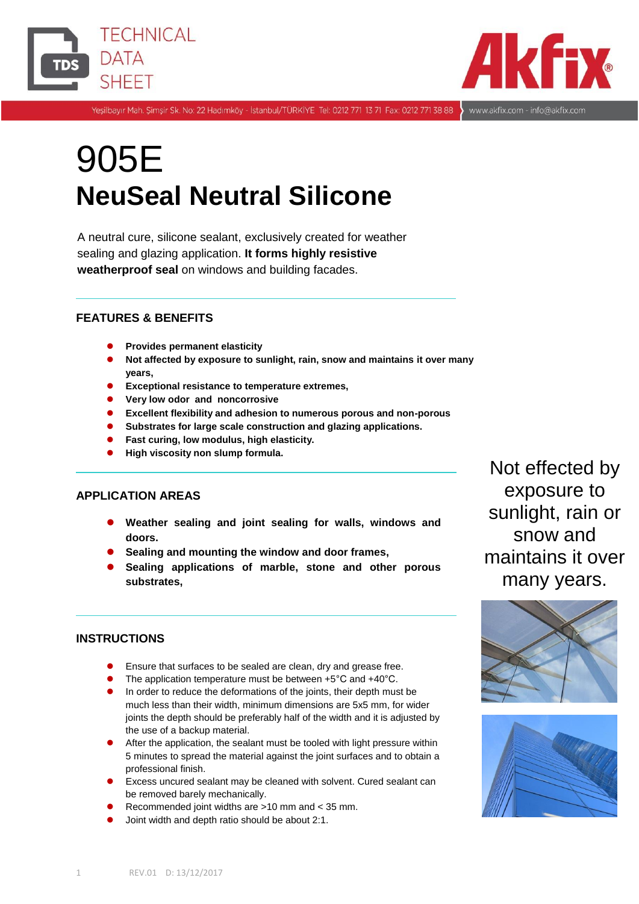



Yeşilbayır Mah. Şimşir Sk. No: 22 Hadımköy - İstanbul/TÜRKİYE Tel: 0212 771 13 71 Fax: 0212 771 38 88 > www.akfix.com - info@akfix.com

# 905E **NeuSeal Neutral Silicone**

A neutral cure, silicone sealant, exclusively created for weather sealing and glazing application. **It forms highly resistive weatherproof seal** on windows and building facades.

## **FEATURES & BENEFITS**

- **Provides permanent elasticity**
- **Not affected by exposure to sunlight, rain, snow and maintains it over many years,**
- **Exceptional resistance to temperature extremes,**
- **Very low odor and noncorrosive**
- **Excellent flexibility and adhesion to numerous porous and non-porous**
- **Substrates for large scale construction and glazing applications.**
- **Fast curing, low modulus, high elasticity.**
- **High viscosity non slump formula.**

## **APPLICATION AREAS**

- **Weather sealing and joint sealing for walls, windows and doors.**
- **Sealing and mounting the window and door frames,**
- **Sealing applications of marble, stone and other porous substrates,**

## **INSTRUCTIONS**

- Ensure that surfaces to be sealed are clean, dry and grease free.
- The application temperature must be between +5°C and +40°C.
- In order to reduce the deformations of the joints, their depth must be much less than their width, minimum dimensions are 5x5 mm, for wider joints the depth should be preferably half of the width and it is adjusted by the use of a backup material.
- After the application, the sealant must be tooled with light pressure within 5 minutes to spread the material against the joint surfaces and to obtain a professional finish.
- Excess uncured sealant may be cleaned with solvent. Cured sealant can be removed barely mechanically.
- Recommended joint widths are >10 mm and < 35 mm.
- Joint width and depth ratio should be about 2:1.

Not effected by exposure to sunlight, rain or snow and maintains it over many years.



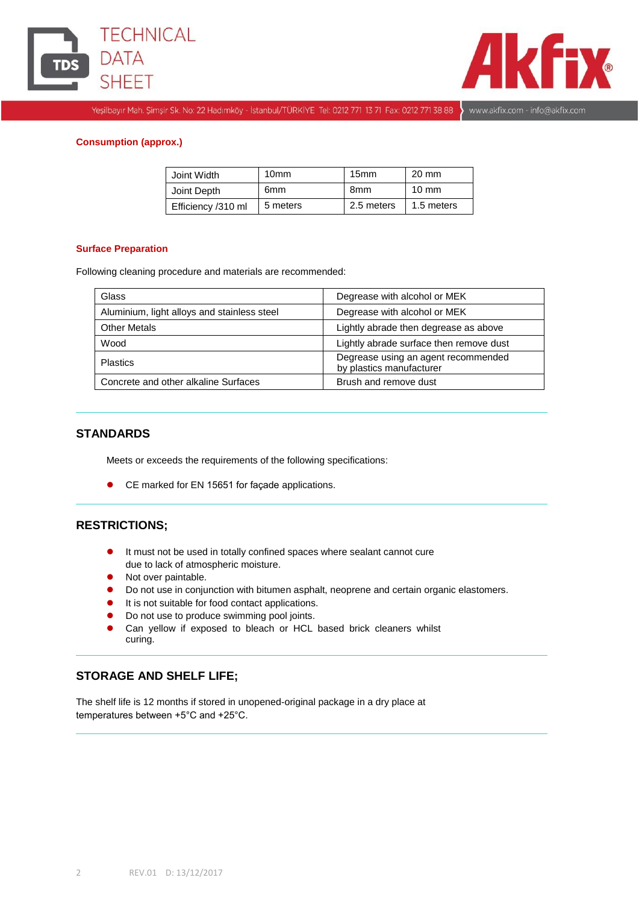



Yeşilbayır Mah. Şimşir Sk. No: 22 Hadımköy - İstanbul/TÜRKİYE Tel: 0212 771 13 71 Fax: 0212 771 38 88 > www.akfix.com - info@akfix.com

#### **Consumption (approx.)**

| Joint Width        | 10 <sub>mm</sub> | 15 <sub>mm</sub> | $20 \text{ mm}$ |
|--------------------|------------------|------------------|-----------------|
| Joint Depth        | 6mm              | 8 <sub>mm</sub>  | $10 \text{ mm}$ |
| Efficiency /310 ml | 5 meters         | 2.5 meters       | 1.5 meters      |

#### **Surface Preparation**

Following cleaning procedure and materials are recommended:

| Glass                                       | Degrease with alcohol or MEK                                    |  |  |
|---------------------------------------------|-----------------------------------------------------------------|--|--|
| Aluminium, light alloys and stainless steel | Degrease with alcohol or MEK                                    |  |  |
| <b>Other Metals</b>                         | Lightly abrade then degrease as above                           |  |  |
| Wood                                        | Lightly abrade surface then remove dust                         |  |  |
| <b>Plastics</b>                             | Degrease using an agent recommended<br>by plastics manufacturer |  |  |
| Concrete and other alkaline Surfaces        | Brush and remove dust                                           |  |  |

#### **STANDARDS**

Meets or exceeds the requirements of the following specifications:

CE marked for EN 15651 for façade applications.

#### **RESTRICTIONS;**

- It must not be used in totally confined spaces where sealant cannot cure due to lack of atmospheric moisture.
- Not over paintable.
- Do not use in conjunction with bitumen asphalt, neoprene and certain organic elastomers.
- It is not suitable for food contact applications.
- Do not use to produce swimming pool joints.
- Can yellow if exposed to bleach or HCL based brick cleaners whilst curing.

## **STORAGE AND SHELF LIFE;**

The shelf life is 12 months if stored in unopened-original package in a dry place at temperatures between +5°C and +25°C.